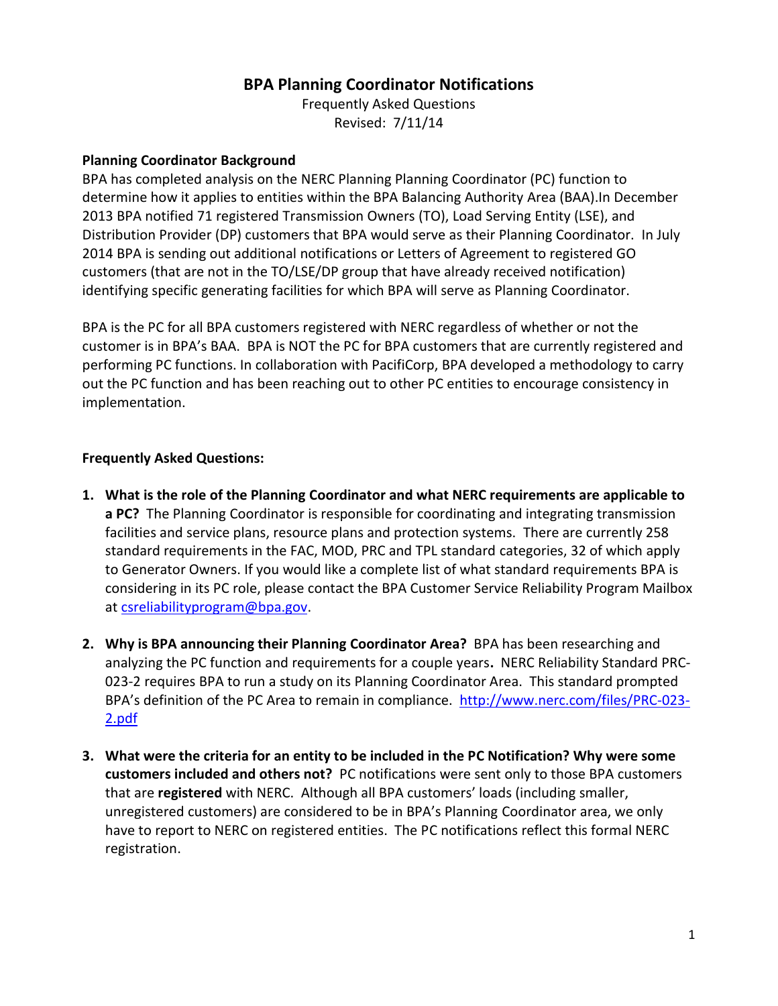## **BPA Planning Coordinator Notifications**

Frequently Asked Questions Revised: 7/11/14

## **Planning Coordinator Background**

BPA has completed analysis on the NERC Planning Planning Coordinator (PC) function to determine how it applies to entities within the BPA Balancing Authority Area (BAA).In December 2013 BPA notified 71 registered Transmission Owners (TO), Load Serving Entity (LSE), and Distribution Provider (DP) customers that BPA would serve as their Planning Coordinator. In July 2014 BPA is sending out additional notifications or Letters of Agreement to registered GO customers (that are not in the TO/LSE/DP group that have already received notification) identifying specific generating facilities for which BPA will serve as Planning Coordinator.

BPA is the PC for all BPA customers registered with NERC regardless of whether or not the customer is in BPA's BAA. BPA is NOT the PC for BPA customers that are currently registered and performing PC functions. In collaboration with PacifiCorp, BPA developed a methodology to carry out the PC function and has been reaching out to other PC entities to encourage consistency in implementation.

## **Frequently Asked Questions:**

- **1. What is the role of the Planning Coordinator and what NERC requirements are applicable to a PC?** The Planning Coordinator is responsible for coordinating and integrating transmission facilities and service plans, resource plans and protection systems. There are currently 258 standard requirements in the FAC, MOD, PRC and TPL standard categories, 32 of which apply to Generator Owners. If you would like a complete list of what standard requirements BPA is considering in its PC role, please contact the BPA Customer Service Reliability Program Mailbox at [csreliabilityprogram@bpa.gov.](mailto:csreliabilityprogram@bpa.gov)
- **2. Why is BPA announcing their Planning Coordinator Area?** BPA has been researching and analyzing the PC function and requirements for a couple years**.** NERC Reliability Standard PRC-023-2 requires BPA to run a study on its Planning Coordinator Area. This standard prompted BPA's definition of the PC Area to remain in compliance. [http://www.nerc.com/files/PRC-023-](http://www.nerc.com/files/PRC-023-2.pdf) [2.pdf](http://www.nerc.com/files/PRC-023-2.pdf)
- **3. What were the criteria for an entity to be included in the PC Notification? Why were some customers included and others not?** PC notifications were sent only to those BPA customers that are **registered** with NERC. Although all BPA customers' loads (including smaller, unregistered customers) are considered to be in BPA's Planning Coordinator area, we only have to report to NERC on registered entities. The PC notifications reflect this formal NERC registration.